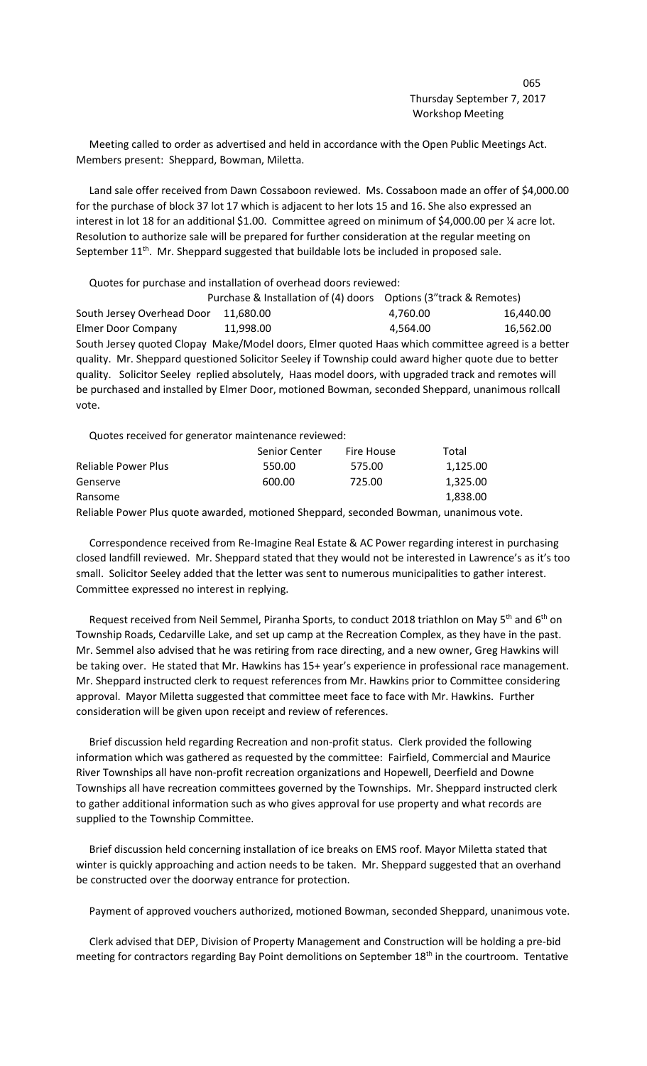Meeting called to order as advertised and held in accordance with the Open Public Meetings Act. Members present: Sheppard, Bowman, Miletta.

 Land sale offer received from Dawn Cossaboon reviewed. Ms. Cossaboon made an offer of \$4,000.00 for the purchase of block 37 lot 17 which is adjacent to her lots 15 and 16. She also expressed an interest in lot 18 for an additional \$1.00. Committee agreed on minimum of \$4,000.00 per ¼ acre lot. Resolution to authorize sale will be prepared for further consideration at the regular meeting on September  $11<sup>th</sup>$ . Mr. Sheppard suggested that buildable lots be included in proposed sale.

Quotes for purchase and installation of overhead doors reviewed:

 Purchase & Installation of (4) doors Options (3"track & Remotes) South Jersey Overhead Door 11,680.00 4,760.00 4,760.00 16,440.00 Elmer Door Company 11,998.00 4,564.00 16,562.00 South Jersey quoted Clopay Make/Model doors, Elmer quoted Haas which committee agreed is a better quality. Mr. Sheppard questioned Solicitor Seeley if Township could award higher quote due to better quality. Solicitor Seeley replied absolutely, Haas model doors, with upgraded track and remotes will be purchased and installed by Elmer Door, motioned Bowman, seconded Sheppard, unanimous rollcall vote.

Quotes received for generator maintenance reviewed:

|                     | Senior Center | Fire House | Total    |
|---------------------|---------------|------------|----------|
| Reliable Power Plus | 550.00        | 575.00     | 1,125.00 |
| Genserve            | 600.00        | 725.00     | 1,325.00 |
| Ransome             |               |            | 1.838.00 |
|                     |               |            |          |

Reliable Power Plus quote awarded, motioned Sheppard, seconded Bowman, unanimous vote.

 Correspondence received from Re-Imagine Real Estate & AC Power regarding interest in purchasing closed landfill reviewed. Mr. Sheppard stated that they would not be interested in Lawrence's as it's too small. Solicitor Seeley added that the letter was sent to numerous municipalities to gather interest. Committee expressed no interest in replying.

Request received from Neil Semmel, Piranha Sports, to conduct 2018 triathlon on May 5<sup>th</sup> and 6<sup>th</sup> on Township Roads, Cedarville Lake, and set up camp at the Recreation Complex, as they have in the past. Mr. Semmel also advised that he was retiring from race directing, and a new owner, Greg Hawkins will be taking over. He stated that Mr. Hawkins has 15+ year's experience in professional race management. Mr. Sheppard instructed clerk to request references from Mr. Hawkins prior to Committee considering approval. Mayor Miletta suggested that committee meet face to face with Mr. Hawkins. Further consideration will be given upon receipt and review of references.

 Brief discussion held regarding Recreation and non-profit status. Clerk provided the following information which was gathered as requested by the committee: Fairfield, Commercial and Maurice River Townships all have non-profit recreation organizations and Hopewell, Deerfield and Downe Townships all have recreation committees governed by the Townships. Mr. Sheppard instructed clerk to gather additional information such as who gives approval for use property and what records are supplied to the Township Committee.

 Brief discussion held concerning installation of ice breaks on EMS roof. Mayor Miletta stated that winter is quickly approaching and action needs to be taken. Mr. Sheppard suggested that an overhand be constructed over the doorway entrance for protection.

Payment of approved vouchers authorized, motioned Bowman, seconded Sheppard, unanimous vote.

 Clerk advised that DEP, Division of Property Management and Construction will be holding a pre-bid meeting for contractors regarding Bay Point demolitions on September 18<sup>th</sup> in the courtroom. Tentative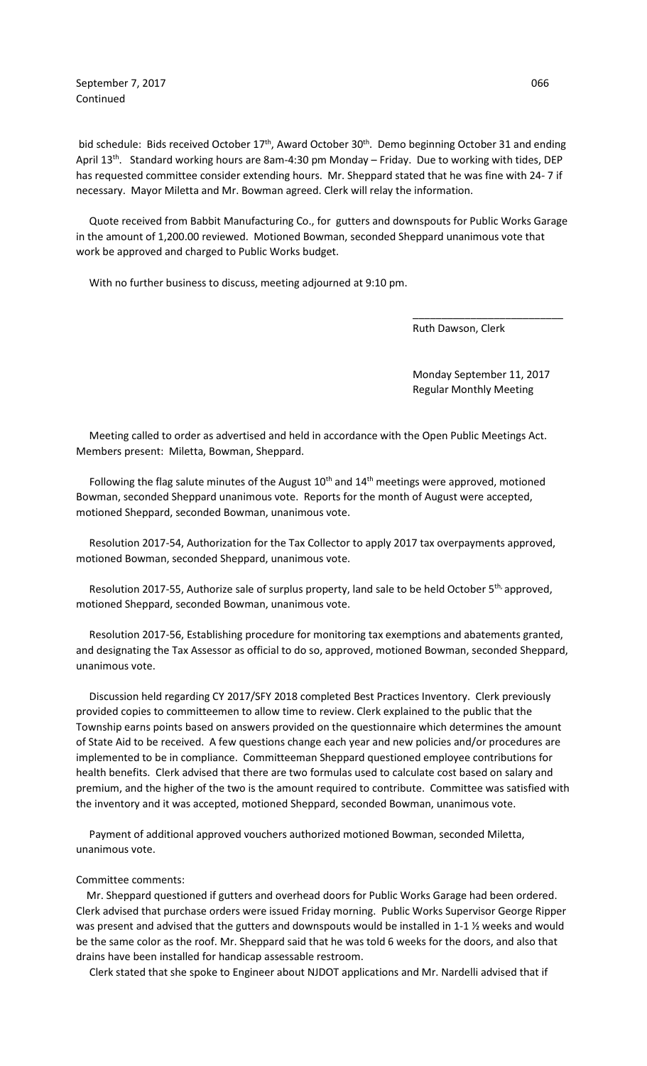September 7, 2017 066 Continued

bid schedule: Bids received October 17<sup>th</sup>, Award October 30<sup>th</sup>. Demo beginning October 31 and ending April 13<sup>th</sup>. Standard working hours are 8am-4:30 pm Monday – Friday. Due to working with tides, DEP has requested committee consider extending hours. Mr. Sheppard stated that he was fine with 24- 7 if necessary. Mayor Miletta and Mr. Bowman agreed. Clerk will relay the information.

 Quote received from Babbit Manufacturing Co., for gutters and downspouts for Public Works Garage in the amount of 1,200.00 reviewed. Motioned Bowman, seconded Sheppard unanimous vote that work be approved and charged to Public Works budget.

 $\overline{\phantom{a}}$  , and the contract of the contract of the contract of the contract of the contract of the contract of the contract of the contract of the contract of the contract of the contract of the contract of the contrac

With no further business to discuss, meeting adjourned at 9:10 pm.

Ruth Dawson, Clerk

 Monday September 11, 2017 Regular Monthly Meeting

 Meeting called to order as advertised and held in accordance with the Open Public Meetings Act. Members present: Miletta, Bowman, Sheppard.

Following the flag salute minutes of the August  $10<sup>th</sup>$  and  $14<sup>th</sup>$  meetings were approved, motioned Bowman, seconded Sheppard unanimous vote. Reports for the month of August were accepted, motioned Sheppard, seconded Bowman, unanimous vote.

 Resolution 2017-54, Authorization for the Tax Collector to apply 2017 tax overpayments approved, motioned Bowman, seconded Sheppard, unanimous vote.

Resolution 2017-55, Authorize sale of surplus property, land sale to be held October 5<sup>th,</sup> approved, motioned Sheppard, seconded Bowman, unanimous vote.

 Resolution 2017-56, Establishing procedure for monitoring tax exemptions and abatements granted, and designating the Tax Assessor as official to do so, approved, motioned Bowman, seconded Sheppard, unanimous vote.

 Discussion held regarding CY 2017/SFY 2018 completed Best Practices Inventory. Clerk previously provided copies to committeemen to allow time to review. Clerk explained to the public that the Township earns points based on answers provided on the questionnaire which determines the amount of State Aid to be received. A few questions change each year and new policies and/or procedures are implemented to be in compliance. Committeeman Sheppard questioned employee contributions for health benefits. Clerk advised that there are two formulas used to calculate cost based on salary and premium, and the higher of the two is the amount required to contribute. Committee was satisfied with the inventory and it was accepted, motioned Sheppard, seconded Bowman, unanimous vote.

 Payment of additional approved vouchers authorized motioned Bowman, seconded Miletta, unanimous vote.

## Committee comments:

 Mr. Sheppard questioned if gutters and overhead doors for Public Works Garage had been ordered. Clerk advised that purchase orders were issued Friday morning. Public Works Supervisor George Ripper was present and advised that the gutters and downspouts would be installed in 1-1 ½ weeks and would be the same color as the roof. Mr. Sheppard said that he was told 6 weeks for the doors, and also that drains have been installed for handicap assessable restroom.

Clerk stated that she spoke to Engineer about NJDOT applications and Mr. Nardelli advised that if